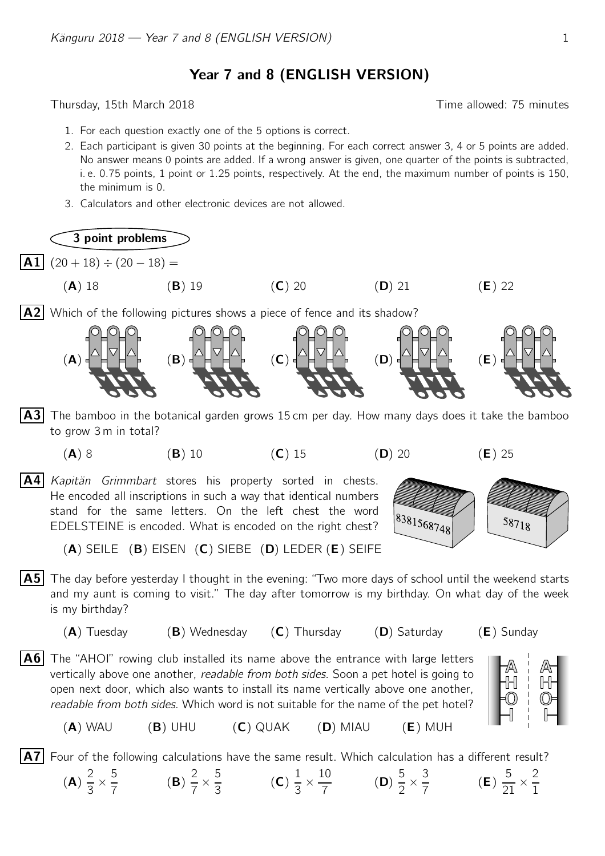Year 7 and 8 (ENGLISH VERSION)

Thursday, 15th March 2018 **Thursday**, 15th March 2018

- 1. For each question exactly one of the 5 options is correct.
- 2. Each participant is given 30 points at the beginning. For each correct answer 3, 4 or 5 points are added. No answer means 0 points are added. If a wrong answer is given, one quarter of the points is subtracted, i. e. 0.75 points, 1 point or 1.25 points, respectively. At the end, the maximum number of points is 150, the minimum is 0.
- 3. Calculators and other electronic devices are not allowed.

3 point problems

 $|\mathbf{A1}|$  (20 + 18) ÷ (20 - 18) =

 $(A)$ 

(A) 18 (B) 19 (C) 20 (D) 21 (E) 22

 $|A2|$  Which of the following pictures shows a piece of fence and its shadow?



- $|A3|$  The bamboo in the botanical garden grows 15 cm per day. How many days does it take the bamboo to grow 3 m in total?
	- (A) 8 (B) 10 (C) 15 (D) 20 (E) 25

 $|A4|$  Kapitän Grimmbart stores his property sorted in chests. He encoded all inscriptions in such a way that identical numbers stand for the same letters. On the left chest the word EDELSTEINE is encoded. What is encoded on the right chest?



(A) SEILE (B) EISEN (C) SIEBE (D) LEDER (E) SEIFE

- $\vert$  A5 The day before yesterday I thought in the evening: "Two more days of school until the weekend starts and my aunt is coming to visit." The day after tomorrow is my birthday. On what day of the week is my birthday?
	- $(A)$  Tuesday  $(B)$  Wednesday  $(C)$  Thursday  $(D)$  Saturday  $(E)$  Sunday
		-

H

- $|A6|$  The "AHOI" rowing club installed its name above the entrance with large letters vertically above one another, *readable from both sides*. Soon a pet hotel is going to open next door, which also wants to install its name vertically above one another, readable from both sides. Which word is not suitable for the name of the pet hotel?
	- (A) WAU (B) UHU (C) QUAK (D) MIAU (E) MUH

 $|\mathbf{A7}|$  Four of the following calculations have the same result. Which calculation has a different result?

$$
\frac{2}{3} \times \frac{5}{7} \qquad \qquad (B) \frac{2}{7} \times \frac{5}{3} \qquad \qquad (C) \frac{1}{3} \times \frac{10}{7} \qquad \qquad (D) \frac{5}{2} \times \frac{3}{7} \qquad \qquad (E) \frac{5}{21} \times \frac{2}{1}
$$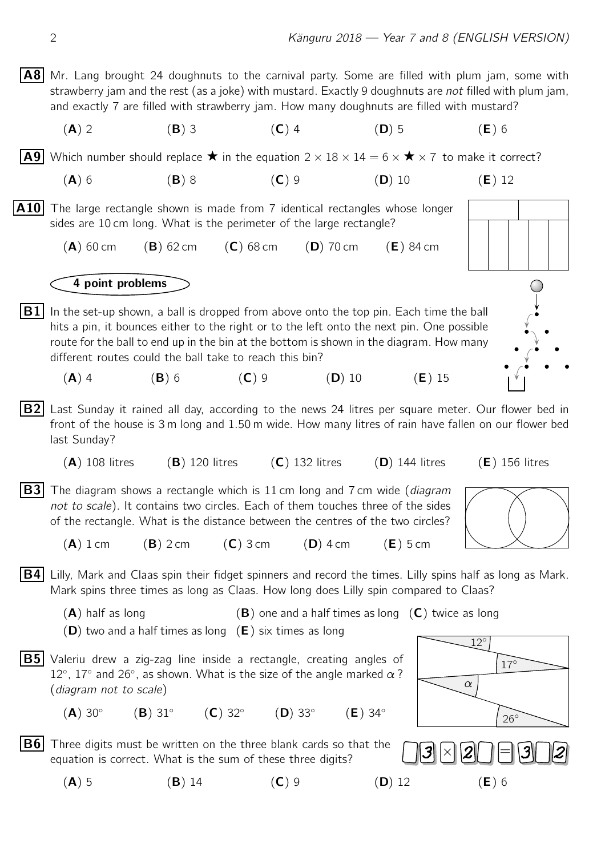$|AB|$  Mr. Lang brought 24 doughnuts to the carnival party. Some are filled with plum jam, some with strawberry jam and the rest (as a joke) with mustard. Exactly 9 doughnuts are *not* filled with plum jam, and exactly 7 are filled with strawberry jam. How many doughnuts are filled with mustard?

(A) 2 (B) 3 (C) 4 (D) 5 (E) 6

**A9** Which number should replace  $\star$  in the equation  $2 \times 18 \times 14 = 6 \times \star \times 7$  to make it correct?

- (A) 6 (B) 8 (C) 9 (D) 10 (E) 12
- $|A10|$  The large rectangle shown is made from 7 identical rectangles whose longer sides are 10 cm long. What is the perimeter of the large rectangle?
	- $(A)$  60 cm  $(B)$  62 cm  $(C)$  68 cm  $(D)$  70 cm  $(E)$  84 cm

4 point problems

 $|B1|$  In the set-up shown, a ball is dropped from above onto the top pin. Each time the ball hits a pin, it bounces either to the right or to the left onto the next pin. One possible route for the ball to end up in the bin at the bottom is shown in the diagram. How many different routes could the ball take to reach this bin?





- (A) 4 (B) 6 (C) 9 (D) 10 (E) 15
- $|B2|$  Last Sunday it rained all day, according to the news 24 litres per square meter. Our flower bed in front of the house is 3 m long and 1.50 m wide. How many litres of rain have fallen on our flower bed last Sunday?
	- (A) 108 litres (B) 120 litres (C) 132 litres (D) 144 litres (E) 156 litres
- **B3** The diagram shows a rectangle which is 11 cm long and 7 cm wide (diagram not to scale). It contains two circles. Each of them touches three of the sides of the rectangle. What is the distance between the centres of the two circles?



- $(A) 1$  cm  $(B) 2$  cm  $(C) 3$  cm  $(D) 4$  cm  $(E) 5$  cm
- **B4** Lilly, Mark and Claas spin their fidget spinners and record the times. Lilly spins half as long as Mark. Mark spins three times as long as Claas. How long does Lilly spin compared to Claas?
	- $(A)$  half as long  $(B)$  one and a half times as long  $(C)$  twice as long  $(D)$  two and a half times as long  $(E)$  six times as long
- **B5** Valeriu drew a zig-zag line inside a rectangle, creating angles of 12°, 17° and 26°, as shown. What is the size of the angle marked  $\alpha$ ?

(diagram not to scale)

- $(A)$  30 $^\circ$  $(B)$  31 $^{\circ}$  $(C)$  32 $^{\circ}$  $(D)$  33 $^\circ$  $(E)$  34 $^{\circ}$
- $|B6|$  Three digits must be written on the three blank cards so that the equation is correct. What is the sum of these three digits?
	- (A) 5 (B) 14 (C) 9 (D) 12 (E) 6



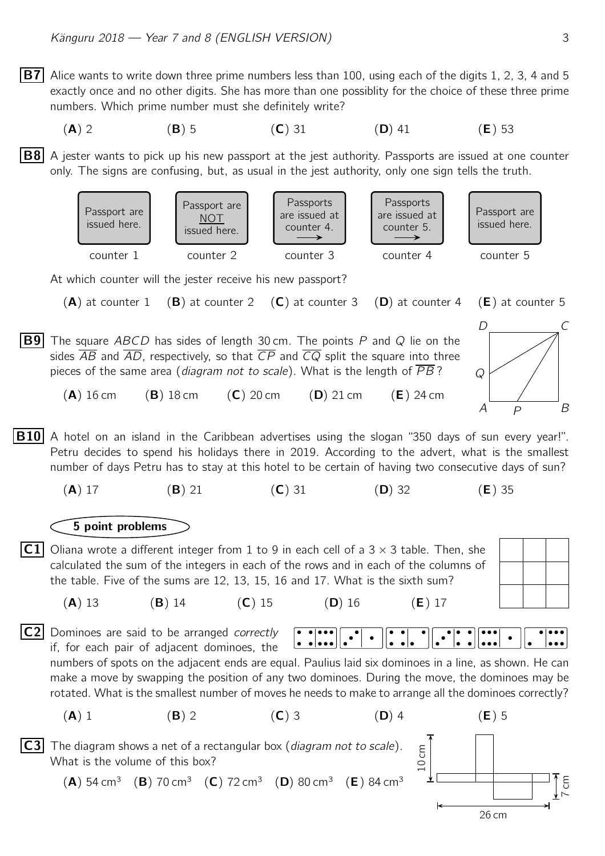**B7** Alice wants to write down three prime numbers less than 100, using each of the digits 1, 2, 3, 4 and 5 exactly once and no other digits. She has more than one possiblity for the choice of these three prime numbers. Which prime number must she definitely write?

\n
$$
(A) 2
$$
\n
$$
(B) 5
$$
\n
$$
(C) 31
$$
\n
$$
(D) 41
$$
\n
$$
(E) 53
$$
\n

 $|B8|$  A jester wants to pick up his new passport at the jest authority. Passports are issued at one counter only. The signs are confusing, but, as usual in the jest authority, only one sign tells the truth.



At which counter will the jester receive his new passport?

 $(A)$  at counter 1 (B) at counter 2 (C) at counter 3 (D) at counter 4 (E) at counter 5

**B9** The square ABCD has sides of length 30 cm. The points P and Q lie on the sides  $\overline{AB}$  and  $\overline{AD}$ , respectively, so that  $\overline{CP}$  and  $\overline{CQ}$  split the square into three pieces of the same area (diagram not to scale). What is the length of  $\overline{PB}$ ?

A B  $D \begin{array}{ccc} C \end{array}$  $\overline{Q}$ P

(A) 16 cm (B) 18 cm (C) 20 cm (D) 21 cm (E) 24 cm

**B10** A hotel on an island in the Caribbean advertises using the slogan "350 days of sun every year!". Petru decides to spend his holidays there in 2019. According to the advert, what is the smallest number of days Petru has to stay at this hotel to be certain of having two consecutive days of sun?

(A) 17 (B) 21 (C) 31 (D) 32 (E) 35

## 5 point problems

**C1** Oliana wrote a different integer from 1 to 9 in each cell of a  $3 \times 3$  table. Then, she calculated the sum of the integers in each of the rows and in each of the columns of the table. Five of the sums are 12, 13, 15, 16 and 17. What is the sixth sum?

 $|C2|$  Dominoes are said to be arranged correctly if, for each pair of adjacent dominoes, the

numbers of spots on the adjacent ends are equal. Paulius laid six dominoes in a line, as shown. He can make a move by swapping the position of any two dominoes. During the move, the dominoes may be rotated. What is the smallest number of moves he needs to make to arrange all the dominoes correctly?

 $\bullet\bullet\bullet\bullet$ 

(A) 1 (B) 2 (C) 3 (D) 4 (E) 5

**C3** The diagram shows a net of a rectangular box (*diagram not to scale*). What is the volume of this box?

> $(A)$  54 cm<sup>3</sup>  $(B)$  70 cm<sup>3</sup>  $(C)$  72 cm<sup>3</sup>  $(D)$  80 cm<sup>3</sup>  $(E)$  84 cm<sup>3</sup>



(A) 13 (B) 14 (C) 15 (D) 16 (E) 17